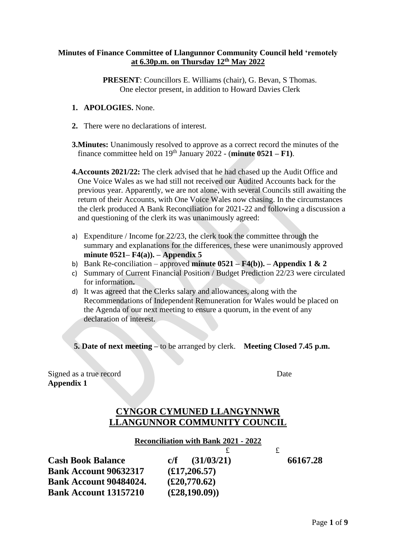## **Minutes of Finance Committee of Llangunnor Community Council held 'remotely at 6.30p.m. on Thursday 12th May 2022**

**PRESENT**: Councillors E. Williams (chair), G. Bevan, S Thomas. One elector present, in addition to Howard Davies Clerk

- **1. APOLOGIES.** None.
- **2.** There were no declarations of interest.
- **3.Minutes:** Unanimously resolved to approve as a correct record the minutes of the  **finance committee held on**  $19<sup>th</sup>$  **January 2022 - (minute**  $0521 - F1$ **).** 
	- **4.Accounts 2021/22:** The clerk advised that he had chased up the Audit Office and One Voice Wales as we had still not received our Audited Accounts back for the previous year. Apparently, we are not alone, with several Councils still awaiting the return of their Accounts, with One Voice Wales now chasing. In the circumstances the clerk produced A Bank Reconciliation for 2021-22 and following a discussion a and questioning of the clerk its was unanimously agreed:
	- a) Expenditure / Income for 22/23, the clerk took the committee through the summary and explanations for the differences, these were unanimously approved **minute 0521– F4(a)). – Appendix 5**
	- b) Bank Re-conciliation approved **minute 0521 – F4(b)). – Appendix 1 & 2**
	- c) Summary of Current Financial Position / Budget Prediction 22/23 were circulated for information**.**
	- d) It was agreed that the Clerks salary and allowances, along with the Recommendations of Independent Remuneration for Wales would be placed on the Agenda of our next meeting to ensure a quorum, in the event of any declaration of interest.

**5. Date of next meeting –** to be arranged by clerk. **Meeting Closed 7.45 p.m.**

Signed as a true record Date **Appendix 1**

## **CYNGOR CYMUNED LLANGYNNWR LLANGUNNOR COMMUNITY COUNCIL**

## **Reconciliation with Bank 2021 - 2022**

| <b>Cash Book Balance</b>      | (31/03/21)<br>c/f      | 66167.28 |
|-------------------------------|------------------------|----------|
| <b>Bank Account 90632317</b>  | $(\pounds17, 206.57)$  |          |
| <b>Bank Account 90484024.</b> | $(\pounds 20,770.62)$  |          |
| <b>Bank Account 13157210</b>  | $(\pounds 28, 190.09)$ |          |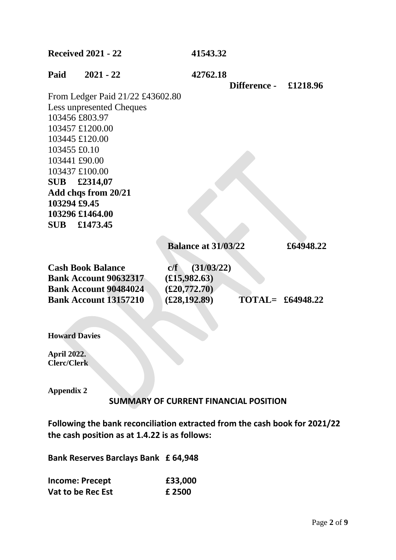| <b>Received 2021 - 22</b>        | 41543.32                                     |                                             |
|----------------------------------|----------------------------------------------|---------------------------------------------|
| Paid<br>$2021 - 22$              | 42762.18<br><b>Difference -</b>              | £1218.96                                    |
| From Ledger Paid 21/22 £43602.80 |                                              |                                             |
| <b>Less unpresented Cheques</b>  |                                              |                                             |
| 103456 £803.97                   |                                              |                                             |
| 103457 £1200.00                  |                                              |                                             |
| 103445 £120.00                   |                                              |                                             |
| 103455 £0.10                     |                                              |                                             |
| 103441 £90.00                    |                                              |                                             |
| 103437 £100.00                   |                                              |                                             |
| £2314,07<br><b>SUB</b>           |                                              |                                             |
| Add chqs from 20/21              |                                              |                                             |
| 103294 £9.45                     |                                              |                                             |
| 103296 £1464.00                  |                                              |                                             |
| SUB £1473.45                     |                                              |                                             |
|                                  |                                              |                                             |
|                                  | <b>Balance at 31/03/22</b>                   | £64948.22                                   |
| <b>Cash Book Balance</b>         | (31/03/22)<br>c/f                            |                                             |
| <b>Bank Account 90632317</b>     | $(\pounds15,982.63)$                         |                                             |
| <b>Bank Account 90484024</b>     | $(\pounds 20, 772.70)$                       |                                             |
| <b>Bank Account 13157210</b>     | $(\pounds 28, 192.89)$                       | $\textbf{TOTAL} = \textbf{\pounds}64948.22$ |
|                                  |                                              |                                             |
|                                  |                                              |                                             |
| <b>Howard Davies</b>             |                                              |                                             |
| <b>April 2022.</b>               |                                              |                                             |
| <b>Clerc/Clerk</b>               |                                              |                                             |
|                                  |                                              |                                             |
| <b>Appendix 2</b>                |                                              |                                             |
|                                  | <b>SUMMARY OF CURRENT FINANCIAL POSITION</b> |                                             |

**Following the bank reconciliation extracted from the cash book for 2021/22 the cash position as at 1.4.22 is as follows:**

**Bank Reserves Barclays Bank £ 64,948**

| <b>Income: Precept</b> | £33,000 |
|------------------------|---------|
| Vat to be Rec Est      | £ 2500  |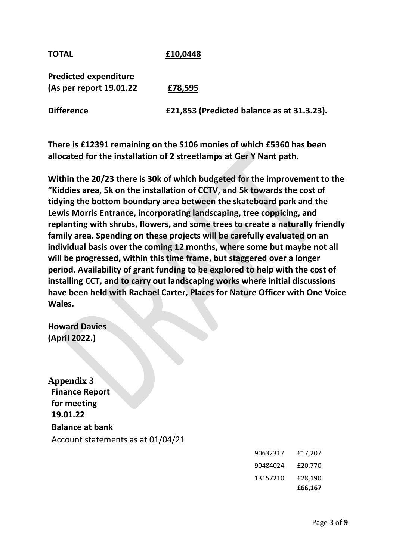**TOTAL £10,0448**

**Predicted expenditure (As per report 19.01.22 £78,595**

**Difference £21,853 (Predicted balance as at 31.3.23).**

**There is £12391 remaining on the S106 monies of which £5360 has been allocated for the installation of 2 streetlamps at Ger Y Nant path.**

**Within the 20/23 there is 30k of which budgeted for the improvement to the "Kiddies area, 5k on the installation of CCTV, and 5k towards the cost of tidying the bottom boundary area between the skateboard park and the Lewis Morris Entrance, incorporating landscaping, tree coppicing, and replanting with shrubs, flowers, and some trees to create a naturally friendly family area. Spending on these projects will be carefully evaluated on an individual basis over the coming 12 months, where some but maybe not all will be progressed, within this time frame, but staggered over a longer period. Availability of grant funding to be explored to help with the cost of installing CCT, and to carry out landscaping works where initial discussions have been held with Rachael Carter, Places for Nature Officer with One Voice Wales.**

**Howard Davies (April 2022.)**

**Appendix 3 Finance Report for meeting 19.01.22 Balance at bank** Account statements as at 01/04/21

|          | £66,167 |
|----------|---------|
| 13157210 | £28,190 |
| 90484024 | £20.770 |
| 90632317 | £17,207 |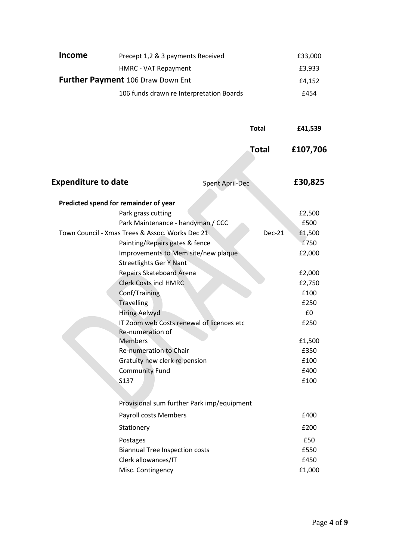| <b>Income</b> | Precept 1,2 & 3 payments Received        | £33,000 |
|---------------|------------------------------------------|---------|
|               | HMRC - VAT Repayment                     | £3.933  |
|               | <b>Further Payment 106 Draw Down Ent</b> | £4.152  |
|               | 106 funds drawn re Interpretation Boards | £454    |

|                                                 | <b>Total</b>                               |              | £41,539  |
|-------------------------------------------------|--------------------------------------------|--------------|----------|
|                                                 |                                            | <b>Total</b> | £107,706 |
| <b>Expenditure to date</b>                      | <b>Spent April-Dec</b>                     |              | £30,825  |
| Predicted spend for remainder of year           |                                            |              |          |
| Park grass cutting                              |                                            |              | £2,500   |
|                                                 | Park Maintenance - handyman / CCC          |              | £500     |
| Town Council - Xmas Trees & Assoc. Works Dec 21 |                                            | Dec-21       | £1,500   |
|                                                 | Painting/Repairs gates & fence             |              | £750     |
|                                                 | Improvements to Mem site/new plaque        |              | £2,000   |
| <b>Streetlights Ger Y Nant</b>                  |                                            |              |          |
| <b>Repairs Skateboard Arena</b>                 |                                            |              | £2,000   |
| <b>Clerk Costs incl HMRC</b>                    |                                            |              | £2,750   |
| Conf/Training                                   |                                            |              | £100     |
| <b>Travelling</b>                               |                                            |              | £250     |
| <b>Hiring Aelwyd</b>                            |                                            |              | £0       |
| Re-numeration of                                | IT Zoom web Costs renewal of licences etc  |              | £250     |
| <b>Members</b>                                  |                                            |              | £1,500   |
| Re-numeration to Chair                          |                                            |              | £350     |
| Gratuity new clerk re pension                   |                                            |              | £100     |
| <b>Community Fund</b>                           |                                            |              | £400     |
| S137                                            |                                            |              | £100     |
|                                                 |                                            |              |          |
|                                                 | Provisional sum further Park imp/equipment |              |          |
| <b>Payroll costs Members</b>                    |                                            |              | £400     |
| Stationery                                      |                                            |              | £200     |
| Postages                                        |                                            |              | £50      |
| <b>Biannual Tree Inspection costs</b>           |                                            |              | £550     |
| Clerk allowances/IT                             |                                            |              | £450     |
| Misc. Contingency                               |                                            |              | £1,000   |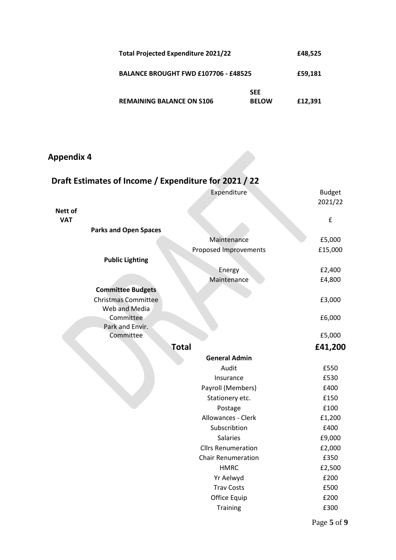| Total Projected Expenditure 2021/22         |                            | £48,525 |
|---------------------------------------------|----------------------------|---------|
| <b>BALANCE BROUGHT FWD £107706 - £48525</b> |                            | £59,181 |
| <b>REMAINING BALANCE ON S106</b>            | <b>SEE</b><br><b>BELOW</b> | £12,391 |

## **Appendix 4**

| Draft Estimates of Income / Expenditure for 2021 / 22 |                                      |               |
|-------------------------------------------------------|--------------------------------------|---------------|
|                                                       | Expenditure                          | <b>Budget</b> |
|                                                       |                                      | 2021/22       |
| Nett of<br><b>VAT</b>                                 |                                      | £             |
| <b>Parks and Open Spaces</b>                          |                                      |               |
|                                                       | Maintenance                          | £5,000        |
|                                                       | Proposed Improvements                | £15,000       |
| <b>Public Lighting</b>                                |                                      |               |
|                                                       | Energy                               | £2,400        |
|                                                       | Maintenance                          | £4,800        |
| <b>Committee Budgets</b>                              |                                      |               |
| <b>Christmas Committee</b>                            |                                      | £3,000        |
| Web and Media                                         |                                      |               |
| Committee<br>Park and Envir.                          |                                      | £6,000        |
| Committee                                             |                                      | £5,000        |
|                                                       | <b>Total</b>                         | £41,200       |
|                                                       |                                      |               |
|                                                       | <b>General Admin</b>                 |               |
|                                                       | Audit                                | £550          |
|                                                       | Insurance                            | £530<br>£400  |
|                                                       | Payroll (Members)<br>Stationery etc. | £150          |
|                                                       | Postage                              | £100          |
|                                                       | Allowances - Clerk                   | £1,200        |
|                                                       | Subscribtion                         | £400          |
|                                                       | <b>Salaries</b>                      | £9,000        |
|                                                       | <b>Cllrs Renumeration</b>            | £2,000        |
|                                                       | <b>Chair Renumeration</b>            | £350          |
|                                                       | <b>HMRC</b>                          | £2,500        |
|                                                       | Yr Aelwyd                            | £200          |
|                                                       | <b>Trav Costs</b>                    | £500          |
|                                                       | Office Equip                         | £200          |
|                                                       | <b>Training</b>                      | £300          |
|                                                       |                                      |               |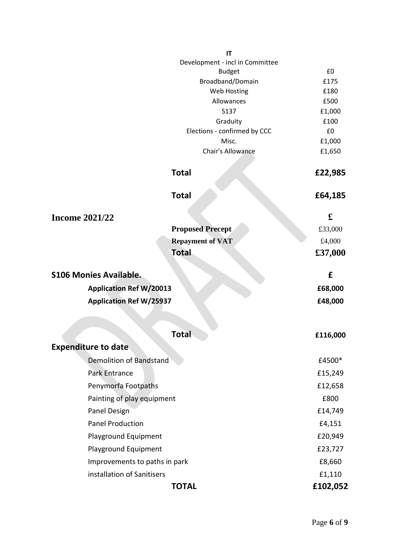|                                | IT                              |              |
|--------------------------------|---------------------------------|--------------|
|                                | Development - incl in Committee |              |
|                                | <b>Budget</b>                   | £0           |
|                                | Broadband/Domain<br>Web Hosting | £175<br>£180 |
|                                | Allowances                      | £500         |
|                                | S137                            | £1,000       |
|                                | Graduity                        | £100         |
|                                | Elections - confirmed by CCC    | £0           |
|                                | Misc.                           | £1,000       |
|                                | Chair's Allowance               | £1,650       |
|                                | <b>Total</b>                    | £22,985      |
|                                | <b>Total</b>                    | £64,185      |
| <b>Income 2021/22</b>          |                                 | £            |
|                                | <b>Proposed Precept</b>         | £33,000      |
|                                | <b>Repayment of VAT</b>         | £4,000       |
|                                | <b>Total</b>                    | £37,000      |
| <b>S106 Monies Available.</b>  |                                 | £            |
| <b>Application Ref W/20013</b> |                                 | £68,000      |
| <b>Application Ref W/25937</b> |                                 | £48,000      |
|                                |                                 |              |
|                                | <b>Total</b>                    | £116,000     |
| <b>Expenditure to date</b>     |                                 |              |
| <b>Demolition of Bandstand</b> |                                 | £4500*       |
| Park Entrance                  |                                 | £15,249      |
| Penymorfa Footpaths            |                                 | £12,658      |
| Painting of play equipment     |                                 | £800         |
| Panel Design                   |                                 | £14,749      |
| <b>Panel Production</b>        |                                 | £4,151       |
| Playground Equipment           |                                 | £20,949      |
| Playground Equipment           |                                 | £23,727      |
| Improvements to paths in park  |                                 | £8,660       |
| installation of Sanitisers     |                                 | £1,110       |
|                                |                                 |              |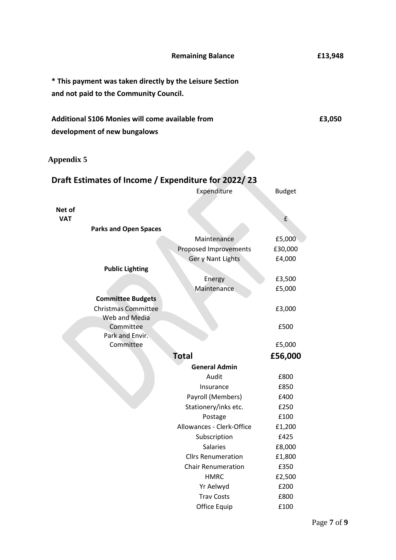|                                                                                 | <b>Remaining Balance</b>  |               | £13,948 |
|---------------------------------------------------------------------------------|---------------------------|---------------|---------|
| * This payment was taken directly by the Leisure Section                        |                           |               |         |
| and not paid to the Community Council.                                          |                           |               |         |
| Additional S106 Monies will come available from<br>development of new bungalows |                           |               | £3,050  |
| <b>Appendix 5</b>                                                               |                           |               |         |
| Draft Estimates of Income / Expenditure for 2022/23                             |                           |               |         |
|                                                                                 | Expenditure               | <b>Budget</b> |         |
|                                                                                 |                           |               |         |
| Net of<br><b>VAT</b>                                                            |                           | £             |         |
| <b>Parks and Open Spaces</b>                                                    |                           |               |         |
|                                                                                 | Maintenance               | £5,000        |         |
|                                                                                 | Proposed Improvements     | £30,000       |         |
|                                                                                 | Ger y Nant Lights         | £4,000        |         |
| <b>Public Lighting</b>                                                          |                           |               |         |
|                                                                                 | Energy                    | £3,500        |         |
|                                                                                 | Maintenance               | £5,000        |         |
| <b>Committee Budgets</b>                                                        |                           |               |         |
| <b>Christmas Committee</b>                                                      |                           | £3,000        |         |
| Web and Media<br>Committee                                                      |                           |               |         |
| Park and Envir.                                                                 |                           | £500          |         |
| Committee                                                                       |                           | £5,000        |         |
|                                                                                 | <b>Total</b>              | £56,000       |         |
|                                                                                 | <b>General Admin</b>      |               |         |
|                                                                                 | Audit                     | £800          |         |
|                                                                                 | Insurance                 | £850          |         |
|                                                                                 | Payroll (Members)         | £400          |         |
|                                                                                 | Stationery/inks etc.      | £250          |         |
|                                                                                 | Postage                   | £100          |         |
|                                                                                 | Allowances - Clerk-Office | £1,200        |         |
|                                                                                 | Subscription              | £425          |         |
|                                                                                 | <b>Salaries</b>           | £8,000        |         |
|                                                                                 | <b>Cllrs Renumeration</b> | £1,800        |         |
|                                                                                 | <b>Chair Renumeration</b> | £350          |         |
|                                                                                 | <b>HMRC</b>               | £2,500        |         |
|                                                                                 | Yr Aelwyd                 | £200          |         |
|                                                                                 | <b>Trav Costs</b>         | £800          |         |
|                                                                                 | Office Equip              | £100          |         |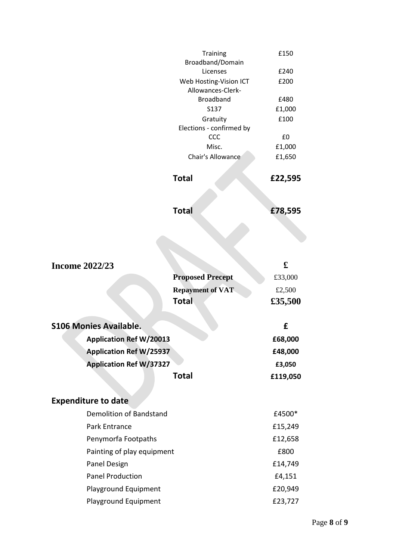|                                | Training                        | £150        |
|--------------------------------|---------------------------------|-------------|
|                                | Broadband/Domain<br>Licenses    | £240        |
|                                | Web Hosting-Vision ICT          | £200        |
|                                | Allowances-Clerk-               |             |
|                                | <b>Broadband</b>                | £480        |
|                                | S137                            | £1,000      |
|                                | Gratuity                        | £100        |
|                                | Elections - confirmed by<br>CCC | £0          |
|                                | Misc.                           | £1,000      |
|                                | Chair's Allowance               | £1,650      |
|                                |                                 |             |
|                                | <b>Total</b>                    | £22,595     |
|                                |                                 |             |
|                                | <b>Total</b>                    | £78,595     |
|                                |                                 |             |
|                                |                                 |             |
| <b>Income 2022/23</b>          |                                 | $\mathbf f$ |
|                                | <b>Proposed Precept</b>         | £33,000     |
|                                | <b>Repayment of VAT</b>         | £2,500      |
|                                | <b>Total</b>                    | £35,500     |
| <b>S106 Monies Available.</b>  |                                 | £           |
| <b>Application Ref W/20013</b> |                                 | £68,000     |
|                                |                                 |             |
| <b>Application Ref W/25937</b> |                                 | £48,000     |
| <b>Application Ref W/37327</b> |                                 | £3,050      |
|                                | <b>Total</b>                    | £119,050    |
| <b>Expenditure to date</b>     |                                 |             |
| <b>Demolition of Bandstand</b> |                                 | £4500*      |
| Park Entrance                  |                                 | £15,249     |
| Penymorfa Footpaths            |                                 | £12,658     |
| Painting of play equipment     |                                 | £800        |
| Panel Design                   |                                 | £14,749     |
| <b>Panel Production</b>        |                                 | £4,151      |
| Playground Equipment           |                                 | £20,949     |
| Playground Equipment           |                                 | £23,727     |